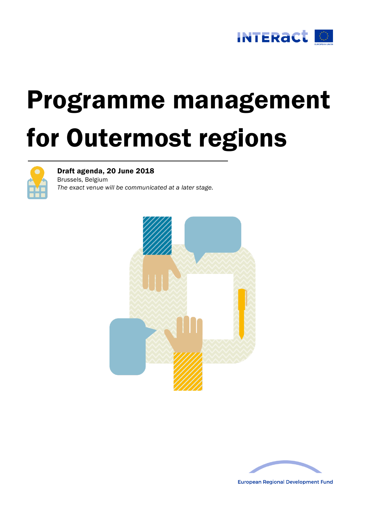

# Programme management for Outermost regions



Draft agenda, 20 June 2018

Brussels, Belgium *The exact venue will be communicated at a later stage.*





**European Regional Development Fund**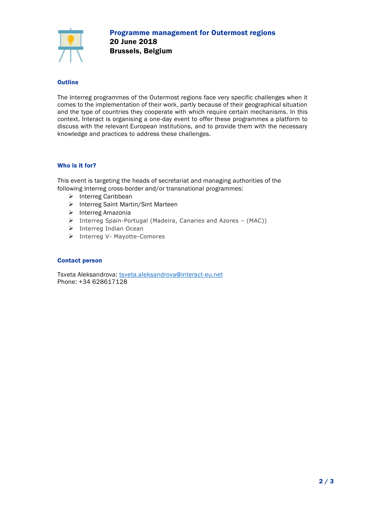

## **Outline**

The Interreg programmes of the Outermost regions face very specific challenges when it comes to the implementation of their work, partly because of their geographical situation and the type of countries they cooperate with which require certain mechanisms. In this context, Interact is organising a one-day event to offer these programmes a platform to discuss with the relevant European institutions, and to provide them with the necessary knowledge and practices to address these challenges.

### Who is it for?

This event is targeting the heads of secretariat and managing authorities of the following Interreg cross-border and/or transnational programmes:

- > Interreg Caribbean
- > Interreg Saint Martin/Sint Marteen
- $\triangleright$  Interreg Amazonia
- Interreg Spain-Portugal (Madeira, Canaries and Azores (MAC))
- $\triangleright$  Interreg Indian Ocean
- > Interreg V- Mayotte-Comores

#### Contact person

Tsveta Aleksandrova: [tsveta.aleksandrova@interact-eu.net](mailto:tsveta.aleksandrova@interact-eu.net) Phone: +34 628617128